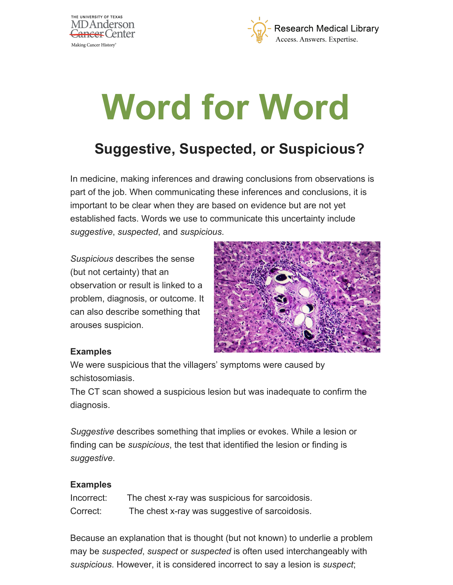



# **Word for Word**

## **Suggestive, Suspected, or Suspicious?**

In medicine, making inferences and drawing conclusions from observations is part of the job. When communicating these inferences and conclusions, it is important to be clear when they are based on evidence but are not yet established facts. Words we use to communicate this uncertainty include *suggestive*, *suspected*, and *suspicious*.

*Suspicious* describes the sense (but not certainty) that an observation or result is linked to a problem, diagnosis, or outcome. It can also describe something that arouses suspicion.



#### **Examples**

We were suspicious that the villagers' symptoms were caused by schistosomiasis.

The CT scan showed a suspicious lesion but was inadequate to confirm the diagnosis.

*Suggestive* describes something that implies or evokes. While a lesion or finding can be *suspicious*, the test that identified the lesion or finding is *suggestive*.

#### **Examples**

| Incorrect: | The chest x-ray was suspicious for sarcoidosis. |
|------------|-------------------------------------------------|
| Correct:   | The chest x-ray was suggestive of sarcoidosis.  |

Because an explanation that is thought (but not known) to underlie a problem may be *suspected*, *suspect* or *suspected* is often used interchangeably with *suspicious*. However, it is considered incorrect to say a lesion is *suspect*;